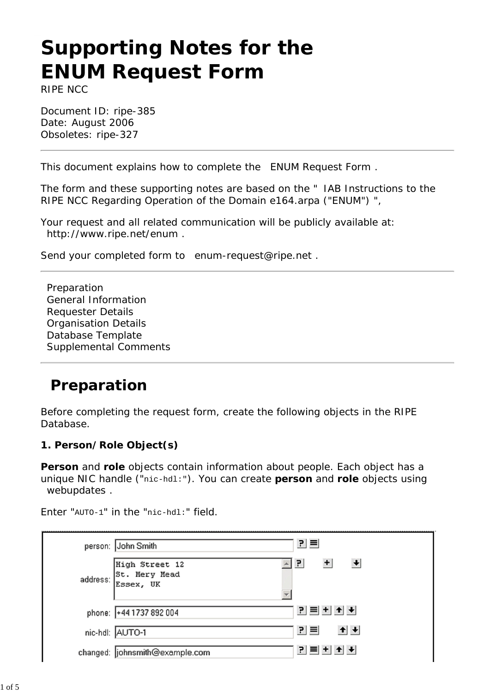# **Supporting Notes for the ENUM Request Form**

*RIPE NCC*

Document ID: ripe-385 Date: August 2006 Obsoletes: ripe-327

This document explains how to complete the ENUM Request Form .

The form and these supporting notes are based on the " IAB Instructions to the RIPE NCC Regarding Operation of the Domain e164.arpa ("ENUM") ",

Your request and all related communication will be publicly available at: http://www.ripe.net/enum .

Send your completed form to enum-request@ripe.net .

Preparation General Information Requester Details Organisation Details Database Template Supplemental Comments

# **Preparation**

Before completing the request form, create the following objects in the RIPE Database.

#### **1. Person/Role Object(s)**

**Person** and **role** objects contain information about people. Each object has a unique NIC handle ("nic-hdl:"). You can create **person** and **role** objects using webupdates .

킨티 person: John Smith  $\triangle$   $\overline{P}$  $+$ High Street 12  $\left| \cdot \right|$ St. Mery Mead address: Essex, UK  $\overline{\mathbf{v}}$  $P = + + +$ phone: +44 1737 892 004 키티  $+|+|$ nic-hdl: AUTO-1 <u> 리트비히★</u> changed: iohnsmith@example.com

Enter "AUTO-1" in the "nic-hdl:" field.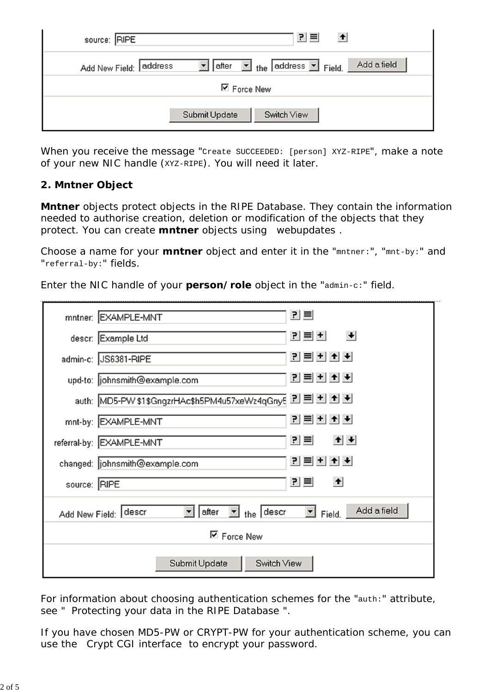| source: RIPE                        | 킨트<br>$\blacktriangle$                                                          |
|-------------------------------------|---------------------------------------------------------------------------------|
| Add New Field: address<br>▼   after | Add a field<br>$\boxed{\blacksquare}$ the address $\boxed{\blacksquare}$ Field. |
| <b>⊠</b> Force New                  |                                                                                 |
| Switch View<br>Submit Update        |                                                                                 |

When you receive the message "Create SUCCEEDED: [person] XYZ-RIPE", make a note of your new NIC handle (XYZ-RIPE). You will need it later.

#### **2. Mntner Object**

**Mntner** objects protect objects in the RIPE Database. They contain the information needed to authorise creation, deletion or modification of the objects that they protect. You can create **mntner** objects using webupdates .

Choose a name for your **mntner** object and enter it in the "mntner:", "mnt-by:" and "referral-by:" fields.

Enter the NIC handle of your **person/role** object in the "admin-c:" field.

|                                                                         | 킨트<br>mntner: EXAMPLE-MNT                                |
|-------------------------------------------------------------------------|----------------------------------------------------------|
|                                                                         | <u> 리티 베</u><br>descr: Example Ltd                       |
|                                                                         | <u> 리트 + + +</u><br>admin-c: JS6381-RIPE                 |
|                                                                         | <u>리티비치★</u><br>upd-to: johnsmith@example.com            |
|                                                                         | auth: MD5-PW \$1\$GngzrHAc\$h5PM4u57xeWz4qGny5 P = + + + |
|                                                                         | <u>리티비치+비</u><br>mnt-by: EXAMPLE-MNT                     |
|                                                                         | $+ +$<br>킨트<br>referral-by: EXAMPLE-MNT                  |
|                                                                         | P ≡ + + + +<br>changed: johnsmith@example.com            |
| source: RIPE                                                            | 킨트<br>$\left  \cdot \right $                             |
| Field. Add a field<br>$\Box$ the descr<br>after<br>Add New Field: descr |                                                          |
| $\nabla$ Force New                                                      |                                                          |
| Submit Update<br>Switch View                                            |                                                          |

For information about choosing authentication schemes for the "auth:" attribute, see " Protecting your data in the RIPE Database ".

If you have chosen MD5-PW or CRYPT-PW for your authentication scheme, you can use the Crypt CGI interface to encrypt your password.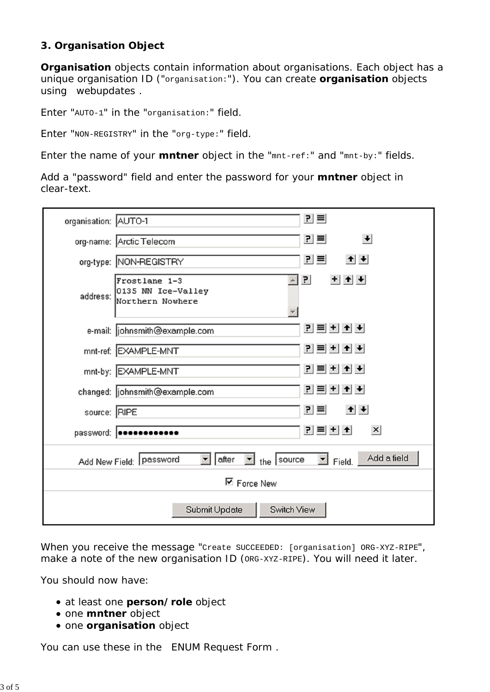#### **3. Organisation Object**

**Organisation** objects contain information about organisations. Each object has a unique organisation ID ("organisation:"). You can create **organisation** objects using webupdates .

Enter "AUTO-1" in the "organisation:" field.

Enter "NON-REGISTRY" in the "org-type:" field.

Enter the name of your **mntner** object in the "mnt-ref:" and "mnt-by:" fields.

Add a "password" field and enter the password for your **mntner** object in clear-text.

| organisation: AUTO-1                                                                                              | $P \equiv$                                                                     |
|-------------------------------------------------------------------------------------------------------------------|--------------------------------------------------------------------------------|
|                                                                                                                   | 킨트<br>$\left  \cdot \right $<br>org-name: Arctic Telecom                       |
|                                                                                                                   | $P \equiv$<br>$+$ $+$<br>org-type: NON-REGISTRY                                |
|                                                                                                                   | $+ +$<br>쾬<br>Frostlane 1-3<br>address: 0135 NN Ice-Valley<br>Northern Nowhere |
|                                                                                                                   | <u>리티비+ ★</u><br>e-mail:  johnsmith@example.com                                |
|                                                                                                                   | <u> 리티비비</u><br>mnt-ref: EXAMPLE-MNT                                           |
|                                                                                                                   | <u> 리트비치★</u><br>mnt-by: EXAMPLE-MNT                                           |
|                                                                                                                   | <u>리티비치★</u><br>changed: johnsmith@example.com                                 |
| source: RIPE                                                                                                      | $+$ $+$<br>$P \equiv$                                                          |
|                                                                                                                   | <u>리트비치</u><br>$\boldsymbol{\mathsf{x}}$<br>password:   ************           |
| Add a field<br>$\Box$ the source<br>after<br>$\Box$ Field.<br>Add New Field: Password<br>$\overline{\phantom{a}}$ |                                                                                |
| $\nabla$ Force New                                                                                                |                                                                                |
| Submit Update<br>Switch View                                                                                      |                                                                                |

When you receive the message "Create SUCCEEDED: [organisation] ORG-XYZ-RIPE", make a note of the new organisation ID (ORG-XYZ-RIPE). You will need it later.

You should now have:

- at least one **person/role** object
- **one mntner** object
- **one organisation** object

You can use these in the ENUM Request Form .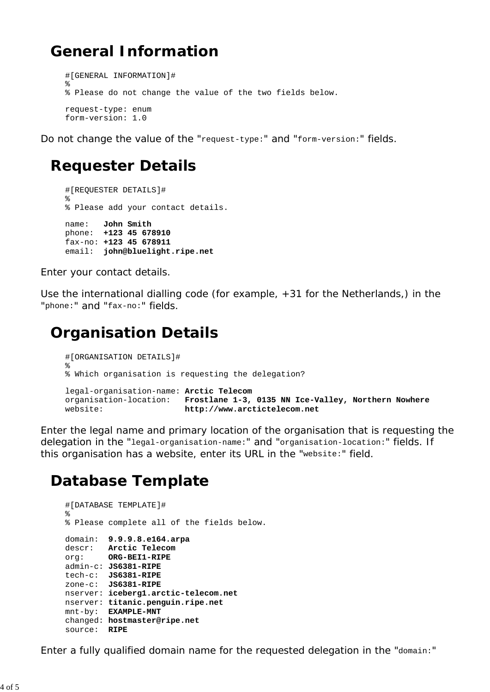## **General Information**

```
#[GENERAL INFORMATION]#
%
% Please do not change the value of the two fields below.
request-type: enum
form-version: 1.0
```
Do not change the value of the "request-type:" and "form-version:" fields.

### **Requester Details**

```
#[REQUESTER DETAILS]#
%
% Please add your contact details.
name: John Smith
phone: +123 45 678910
fax-no: +123 45 678911
email: john@bluelight.ripe.net
```
Enter your contact details.

Use the international dialling code (for example, +31 for the Netherlands,) in the "phone:" and "fax-no:" fields.

## **Organisation Details**

```
#[ORGANISATION DETAILS]#
%
% Which organisation is requesting the delegation?
legal-organisation-name: Arctic Telecom
organisation-location: Frostlane 1-3, 0135 NN Ice-Valley, Northern Nowhere
website: http://www.arctictelecom.net
```
Enter the legal name and primary location of the organisation that is requesting the delegation in the "legal-organisation-name:" and "organisation-location:" fields. If this organisation has a website, enter its URL in the "website:" field.

## **Database Template**

```
#[DATABASE TEMPLATE]#
%
% Please complete all of the fields below.
domain: 9.9.9.8.e164.arpa
descr: Arctic Telecom
org: ORG-BEI1-RIPE
admin-c: JS6381-RIPE
tech-c: JS6381-RIPE
zone-c: JS6381-RIPE
nserver: iceberg1.arctic-telecom.net
nserver: titanic.penguin.ripe.net
mnt-by: EXAMPLE-MNT
changed: hostmaster@ripe.net
source: RIPE
```
Enter a fully qualified domain name for the requested delegation in the "domain:"